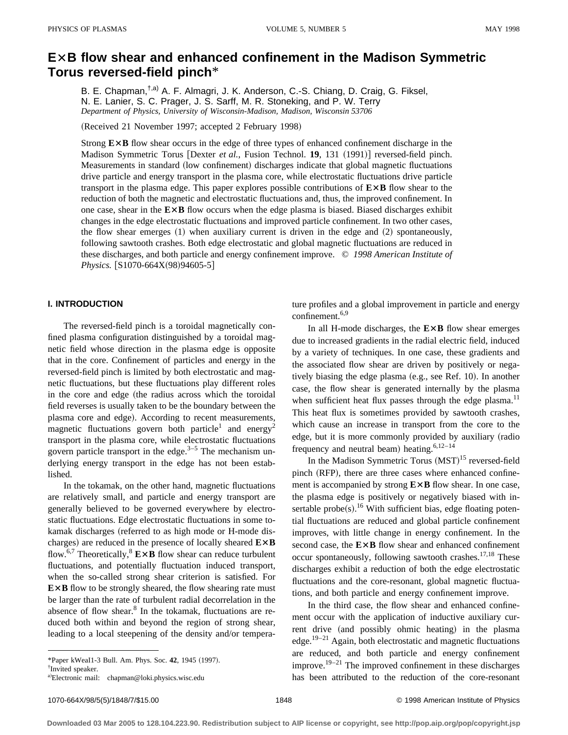# **E**3**B flow shear and enhanced confinement in the Madison Symmetric Torus reversed-field pinch**\*

B. E. Chapman,<sup>†,a)</sup> A. F. Almagri, J. K. Anderson, C.-S. Chiang, D. Craig, G. Fiksel, N. E. Lanier, S. C. Prager, J. S. Sarff, M. R. Stoneking, and P. W. Terry *Department of Physics, University of Wisconsin-Madison, Madison, Wisconsin 53706*

(Received 21 November 1997; accepted 2 February 1998)

Strong  $E \times B$  flow shear occurs in the edge of three types of enhanced confinement discharge in the Madison Symmetric Torus [Dexter *et al.*, Fusion Technol. **19**, 131 (1991)] reversed-field pinch. Measurements in standard (low confinement) discharges indicate that global magnetic fluctuations drive particle and energy transport in the plasma core, while electrostatic fluctuations drive particle transport in the plasma edge. This paper explores possible contributions of  $E \times B$  flow shear to the reduction of both the magnetic and electrostatic fluctuations and, thus, the improved confinement. In one case, shear in the  $E \times B$  flow occurs when the edge plasma is biased. Biased discharges exhibit changes in the edge electrostatic fluctuations and improved particle confinement. In two other cases, the flow shear emerges  $(1)$  when auxiliary current is driven in the edge and  $(2)$  spontaneously, following sawtooth crashes. Both edge electrostatic and global magnetic fluctuations are reduced in these discharges, and both particle and energy confinement improve. © *1998 American Institute of Physics.* [S1070-664X(98)94605-5]

## **I. INTRODUCTION**

The reversed-field pinch is a toroidal magnetically confined plasma configuration distinguished by a toroidal magnetic field whose direction in the plasma edge is opposite that in the core. Confinement of particles and energy in the reversed-field pinch is limited by both electrostatic and magnetic fluctuations, but these fluctuations play different roles in the core and edge (the radius across which the toroidal field reverses is usually taken to be the boundary between the plasma core and edge). According to recent measurements, magnetic fluctuations govern both particle<sup>1</sup> and energy<sup>2</sup> transport in the plasma core, while electrostatic fluctuations govern particle transport in the edge. $3-5$  The mechanism underlying energy transport in the edge has not been established.

In the tokamak, on the other hand, magnetic fluctuations are relatively small, and particle and energy transport are generally believed to be governed everywhere by electrostatic fluctuations. Edge electrostatic fluctuations in some tokamak discharges (referred to as high mode or H-mode discharges) are reduced in the presence of locally sheared  $E \times B$ flow.<sup>6,7</sup> Theoretically,<sup>8</sup>  $E \times B$  flow shear can reduce turbulent fluctuations, and potentially fluctuation induced transport, when the so-called strong shear criterion is satisfied. For  $E \times B$  flow to be strongly sheared, the flow shearing rate must be larger than the rate of turbulent radial decorrelation in the absence of flow shear. $8$  In the tokamak, fluctuations are reduced both within and beyond the region of strong shear, leading to a local steepening of the density and/or temperature profiles and a global improvement in particle and energy confinement.<sup>6,9</sup>

In all H-mode discharges, the  $E \times B$  flow shear emerges due to increased gradients in the radial electric field, induced by a variety of techniques. In one case, these gradients and the associated flow shear are driven by positively or negatively biasing the edge plasma  $(e.g., see Ref. 10)$ . In another case, the flow shear is generated internally by the plasma when sufficient heat flux passes through the edge plasma.<sup>11</sup> This heat flux is sometimes provided by sawtooth crashes, which cause an increase in transport from the core to the edge, but it is more commonly provided by auxiliary (radio frequency and neutral beam) heating. $6,12-14$ 

In the Madison Symmetric Torus (MST)<sup>15</sup> reversed-field pinch (RFP), there are three cases where enhanced confinement is accompanied by strong  $E \times B$  flow shear. In one case, the plasma edge is positively or negatively biased with insertable probe(s).<sup>16</sup> With sufficient bias, edge floating potential fluctuations are reduced and global particle confinement improves, with little change in energy confinement. In the second case, the  $E \times B$  flow shear and enhanced confinement occur spontaneously, following sawtooth crashes. $17,18$  These discharges exhibit a reduction of both the edge electrostatic fluctuations and the core-resonant, global magnetic fluctuations, and both particle and energy confinement improve.

In the third case, the flow shear and enhanced confinement occur with the application of inductive auxiliary current drive (and possibly ohmic heating) in the plasma edge.<sup>19–21</sup> Again, both electrostatic and magnetic fluctuations are reduced, and both particle and energy confinement improve.<sup>19–21</sup> The improved confinement in these discharges has been attributed to the reduction of the core-resonant

<sup>\*</sup>Paper kWeaI1-3 Bull. Am. Phys. Soc. 42, 1945 (1997).

<sup>†</sup> Invited speaker.

a)Electronic mail: chapman@loki.physics.wisc.edu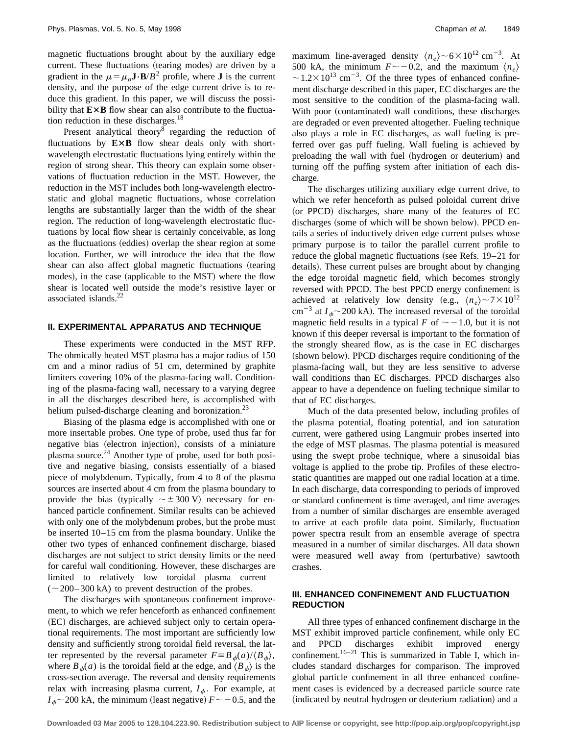magnetic fluctuations brought about by the auxiliary edge current. These fluctuations (tearing modes) are driven by a gradient in the  $\mu = \mu_o \mathbf{J} \cdot \mathbf{B}/B^2$  profile, where **J** is the current density, and the purpose of the edge current drive is to reduce this gradient. In this paper, we will discuss the possibility that  $E \times B$  flow shear can also contribute to the fluctuation reduction in these discharges.18

Present analytical theory<sup>8</sup> regarding the reduction of fluctuations by  $E \times B$  flow shear deals only with shortwavelength electrostatic fluctuations lying entirely within the region of strong shear. This theory can explain some observations of fluctuation reduction in the MST. However, the reduction in the MST includes both long-wavelength electrostatic and global magnetic fluctuations, whose correlation lengths are substantially larger than the width of the shear region. The reduction of long-wavelength electrostatic fluctuations by local flow shear is certainly conceivable, as long as the fluctuations (eddies) overlap the shear region at some location. Further, we will introduce the idea that the flow shear can also affect global magnetic fluctuations (tearing modes), in the case (applicable to the MST) where the flow shear is located well outside the mode's resistive layer or associated islands.<sup>22</sup>

# **II. EXPERIMENTAL APPARATUS AND TECHNIQUE**

These experiments were conducted in the MST RFP. The ohmically heated MST plasma has a major radius of 150 cm and a minor radius of 51 cm, determined by graphite limiters covering 10% of the plasma-facing wall. Conditioning of the plasma-facing wall, necessary to a varying degree in all the discharges described here, is accomplished with helium pulsed-discharge cleaning and boronization.<sup>23</sup>

Biasing of the plasma edge is accomplished with one or more insertable probes. One type of probe, used thus far for negative bias (electron injection), consists of a miniature plasma source.<sup>24</sup> Another type of probe, used for both positive and negative biasing, consists essentially of a biased piece of molybdenum. Typically, from 4 to 8 of the plasma sources are inserted about 4 cm from the plasma boundary to provide the bias (typically  $\sim \pm 300 \text{ V}$ ) necessary for enhanced particle confinement. Similar results can be achieved with only one of the molybdenum probes, but the probe must be inserted 10–15 cm from the plasma boundary. Unlike the other two types of enhanced confinement discharge, biased discharges are not subject to strict density limits or the need for careful wall conditioning. However, these discharges are limited to relatively low toroidal plasma current  $(-200-300 \text{ kA})$  to prevent destruction of the probes.

The discharges with spontaneous confinement improvement, to which we refer henceforth as enhanced confinement (EC) discharges, are achieved subject only to certain operational requirements. The most important are sufficiently low density and sufficiently strong toroidal field reversal, the latter represented by the reversal parameter  $F \equiv B_{\phi}(a)/\langle B_{\phi} \rangle$ , where  $B_{\phi}(a)$  is the toroidal field at the edge, and  $\langle B_{\phi} \rangle$  is the cross-section average. The reversal and density requirements relax with increasing plasma current,  $I_{\phi}$ . For example, at  $I_{\phi}$  ~ 200 kA, the minimum (least negative)  $F \sim -0.5$ , and the

maximum line-averaged density  $\langle n_e \rangle \sim 6 \times 10^{12}$  cm<sup>-3</sup>. At 500 kA, the minimum  $F \sim -0.2$ , and the maximum  $\langle n_e \rangle$  $\sim$ 1.2 $\times$ 10<sup>13</sup> cm<sup>-3</sup>. Of the three types of enhanced confinement discharge described in this paper, EC discharges are the most sensitive to the condition of the plasma-facing wall. With poor (contaminated) wall conditions, these discharges are degraded or even prevented altogether. Fueling technique also plays a role in EC discharges, as wall fueling is preferred over gas puff fueling. Wall fueling is achieved by preloading the wall with fuel (hydrogen or deuterium) and turning off the puffing system after initiation of each discharge.

The discharges utilizing auxiliary edge current drive, to which we refer henceforth as pulsed poloidal current drive (or PPCD) discharges, share many of the features of EC discharges (some of which will be shown below). PPCD entails a series of inductively driven edge current pulses whose primary purpose is to tailor the parallel current profile to reduce the global magnetic fluctuations (see Refs.  $19-21$  for details). These current pulses are brought about by changing the edge toroidal magnetic field, which becomes strongly reversed with PPCD. The best PPCD energy confinement is achieved at relatively low density (e.g.,  $\langle n_e \rangle \sim 7 \times 10^{12}$  $\text{cm}^{-3}$  at  $I_{\phi}$  ~ 200 kA). The increased reversal of the toroidal magnetic field results in a typical *F* of  $\sim$  -1.0, but it is not known if this deeper reversal is important to the formation of the strongly sheared flow, as is the case in EC discharges (shown below). PPCD discharges require conditioning of the plasma-facing wall, but they are less sensitive to adverse wall conditions than EC discharges. PPCD discharges also appear to have a dependence on fueling technique similar to that of EC discharges.

Much of the data presented below, including profiles of the plasma potential, floating potential, and ion saturation current, were gathered using Langmuir probes inserted into the edge of MST plasmas. The plasma potential is measured using the swept probe technique, where a sinusoidal bias voltage is applied to the probe tip. Profiles of these electrostatic quantities are mapped out one radial location at a time. In each discharge, data corresponding to periods of improved or standard confinement is time averaged, and time averages from a number of similar discharges are ensemble averaged to arrive at each profile data point. Similarly, fluctuation power spectra result from an ensemble average of spectra measured in a number of similar discharges. All data shown were measured well away from (perturbative) sawtooth crashes.

# **III. ENHANCED CONFINEMENT AND FLUCTUATION REDUCTION**

All three types of enhanced confinement discharge in the MST exhibit improved particle confinement, while only EC and PPCD discharges exhibit improved energy confinement.<sup>16–21</sup> This is summarized in Table I, which includes standard discharges for comparison. The improved global particle confinement in all three enhanced confinement cases is evidenced by a decreased particle source rate (indicated by neutral hydrogen or deuterium radiation) and a

**Downloaded 03 Mar 2005 to 128.104.223.90. Redistribution subject to AIP license or copyright, see http://pop.aip.org/pop/copyright.jsp**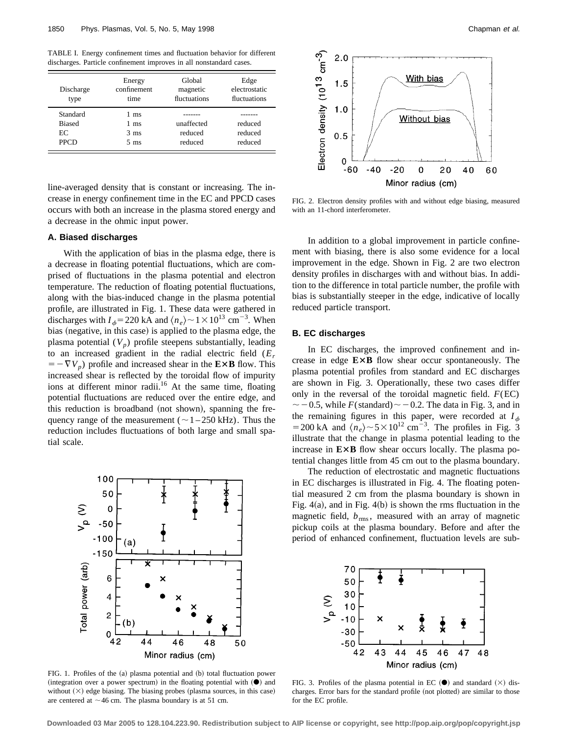TABLE I. Energy confinement times and fluctuation behavior for different discharges. Particle confinement improves in all nonstandard cases.

| Discharge<br>type                              | Energy<br>confinement<br>time                    | Global<br>magnetic<br>fluctuations | Edge<br>electrostatic<br>fluctuations |
|------------------------------------------------|--------------------------------------------------|------------------------------------|---------------------------------------|
| Standard<br><b>Biased</b><br>EС<br><b>PPCD</b> | 1 ms<br>1 ms<br>$3 \text{ ms}$<br>$5 \text{ ms}$ | unaffected<br>reduced<br>reduced   | reduced<br>reduced<br>reduced         |

line-averaged density that is constant or increasing. The increase in energy confinement time in the EC and PPCD cases occurs with both an increase in the plasma stored energy and a decrease in the ohmic input power.

#### **A. Biased discharges**

With the application of bias in the plasma edge, there is a decrease in floating potential fluctuations, which are comprised of fluctuations in the plasma potential and electron temperature. The reduction of floating potential fluctuations, along with the bias-induced change in the plasma potential profile, are illustrated in Fig. 1. These data were gathered in discharges with  $I_{\phi}$ =220 kA and  $\langle n_e \rangle$  ~ 1 × 10<sup>13</sup> cm<sup>-3</sup>. When bias (negative, in this case) is applied to the plasma edge, the plasma potential  $(V_p)$  profile steepens substantially, leading to an increased gradient in the radial electric field (*Er*  $= -\nabla V_p$ ) profile and increased shear in the **E**×**B** flow. This increased shear is reflected by the toroidal flow of impurity ions at different minor radii.16 At the same time, floating potential fluctuations are reduced over the entire edge, and this reduction is broadband (not shown), spanning the frequency range of the measurement ( $\sim$ 1-250 kHz). Thus the reduction includes fluctuations of both large and small spatial scale.



FIG. 1. Profiles of the (a) plasma potential and (b) total fluctuation power (integration over a power spectrum) in the floating potential with  $(①)$  and without  $(\times)$  edge biasing. The biasing probes (plasma sources, in this case) are centered at  $\sim$  46 cm. The plasma boundary is at 51 cm.



FIG. 2. Electron density profiles with and without edge biasing, measured with an 11-chord interferometer.

In addition to a global improvement in particle confinement with biasing, there is also some evidence for a local improvement in the edge. Shown in Fig. 2 are two electron density profiles in discharges with and without bias. In addition to the difference in total particle number, the profile with bias is substantially steeper in the edge, indicative of locally reduced particle transport.

## **B. EC discharges**

In EC discharges, the improved confinement and increase in edge **E**3**B** flow shear occur spontaneously. The plasma potential profiles from standard and EC discharges are shown in Fig. 3. Operationally, these two cases differ only in the reversal of the toroidal magnetic field.  $F(EC)$  $\sim$  -0.5, while *F*(standard) $\sim$  -0.2. The data in Fig. 3, and in the remaining figures in this paper, were recorded at  $I_{\phi}$ = 200 kA and  $\langle n_e \rangle \sim 5 \times 10^{12}$  cm<sup>-3</sup>. The profiles in Fig. 3 illustrate that the change in plasma potential leading to the increase in  $E \times B$  flow shear occurs locally. The plasma potential changes little from 45 cm out to the plasma boundary.

The reduction of electrostatic and magnetic fluctuations in EC discharges is illustrated in Fig. 4. The floating potential measured 2 cm from the plasma boundary is shown in Fig.  $4(a)$ , and in Fig.  $4(b)$  is shown the rms fluctuation in the magnetic field,  $b_{\rm rms}$ , measured with an array of magnetic pickup coils at the plasma boundary. Before and after the period of enhanced confinement, fluctuation levels are sub-



FIG. 3. Profiles of the plasma potential in EC  $(\bullet)$  and standard  $(\times)$  discharges. Error bars for the standard profile (not plotted) are similar to those for the EC profile.

**Downloaded 03 Mar 2005 to 128.104.223.90. Redistribution subject to AIP license or copyright, see http://pop.aip.org/pop/copyright.jsp**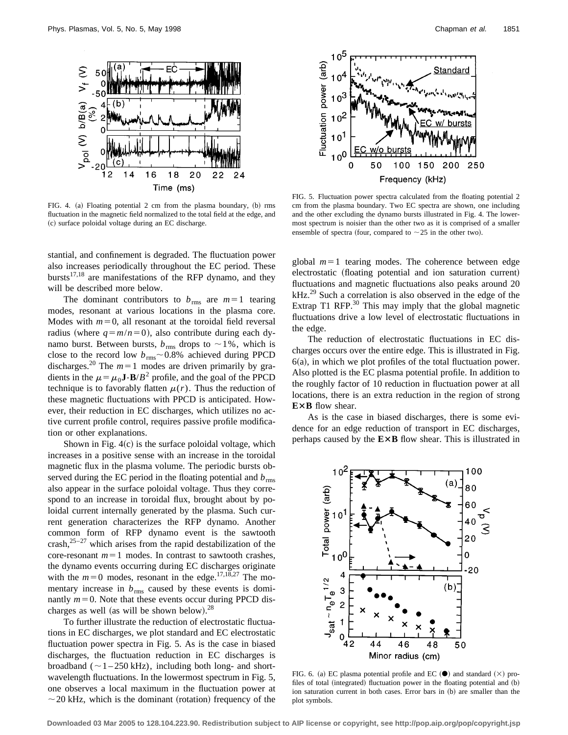

FIG. 4. (a) Floating potential 2 cm from the plasma boundary,  $(b)$  rms fluctuation in the magnetic field normalized to the total field at the edge, and (c) surface poloidal voltage during an EC discharge.

stantial, and confinement is degraded. The fluctuation power also increases periodically throughout the EC period. These bursts<sup>17,18</sup> are manifestations of the RFP dynamo, and they will be described more below.

The dominant contributors to  $b_{\text{rms}}$  are  $m=1$  tearing modes, resonant at various locations in the plasma core. Modes with  $m=0$ , all resonant at the toroidal field reversal radius (where  $q = m/n = 0$ ), also contribute during each dynamo burst. Between bursts,  $b_{\text{rms}}$  drops to  $\sim$ 1%, which is close to the record low  $b_{\text{rms}}$  ~ 0.8% achieved during PPCD discharges.<sup>20</sup> The  $m=1$  modes are driven primarily by gradients in the  $\mu = \mu_0 \mathbf{J} \cdot \mathbf{B}/B^2$  profile, and the goal of the PPCD technique is to favorably flatten  $\mu(r)$ . Thus the reduction of these magnetic fluctuations with PPCD is anticipated. However, their reduction in EC discharges, which utilizes no active current profile control, requires passive profile modification or other explanations.

Shown in Fig.  $4(c)$  is the surface poloidal voltage, which increases in a positive sense with an increase in the toroidal magnetic flux in the plasma volume. The periodic bursts observed during the EC period in the floating potential and  $b_{\text{rms}}$ also appear in the surface poloidal voltage. Thus they correspond to an increase in toroidal flux, brought about by poloidal current internally generated by the plasma. Such current generation characterizes the RFP dynamo. Another common form of RFP dynamo event is the sawtooth crash, $25-27$  which arises from the rapid destabilization of the core-resonant  $m=1$  modes. In contrast to sawtooth crashes, the dynamo events occurring during EC discharges originate with the  $m=0$  modes, resonant in the edge.<sup>17,18,27</sup> The momentary increase in  $b_{\text{rms}}$  caused by these events is dominantly  $m=0$ . Note that these events occur during PPCD discharges as well (as will be shown below).<sup>28</sup>

To further illustrate the reduction of electrostatic fluctuations in EC discharges, we plot standard and EC electrostatic fluctuation power spectra in Fig. 5. As is the case in biased discharges, the fluctuation reduction in EC discharges is broadband ( $\sim$  1 – 250 kHz), including both long- and shortwavelength fluctuations. In the lowermost spectrum in Fig. 5, one observes a local maximum in the fluctuation power at  $\sim$  20 kHz, which is the dominant (rotation) frequency of the



FIG. 5. Fluctuation power spectra calculated from the floating potential 2 cm from the plasma boundary. Two EC spectra are shown, one including and the other excluding the dynamo bursts illustrated in Fig. 4. The lowermost spectrum is noisier than the other two as it is comprised of a smaller ensemble of spectra (four, compared to  $\sim$  25 in the other two).

global  $m=1$  tearing modes. The coherence between edge electrostatic (floating potential and ion saturation current) fluctuations and magnetic fluctuations also peaks around 20  $kHz<sup>29</sup>$  Such a correlation is also observed in the edge of the Extrap T1 RFP. $30$  This may imply that the global magnetic fluctuations drive a low level of electrostatic fluctuations in the edge.

The reduction of electrostatic fluctuations in EC discharges occurs over the entire edge. This is illustrated in Fig.  $6(a)$ , in which we plot profiles of the total fluctuation power. Also plotted is the EC plasma potential profile. In addition to the roughly factor of 10 reduction in fluctuation power at all locations, there is an extra reduction in the region of strong **E** $\times$ **B** flow shear.

As is the case in biased discharges, there is some evidence for an edge reduction of transport in EC discharges, perhaps caused by the  $E \times B$  flow shear. This is illustrated in



FIG. 6. (a) EC plasma potential profile and EC  $(\bullet)$  and standard  $(\times)$  profiles of total (integrated) fluctuation power in the floating potential and  $(b)$ ion saturation current in both cases. Error bars in (b) are smaller than the plot symbols.

**Downloaded 03 Mar 2005 to 128.104.223.90. Redistribution subject to AIP license or copyright, see http://pop.aip.org/pop/copyright.jsp**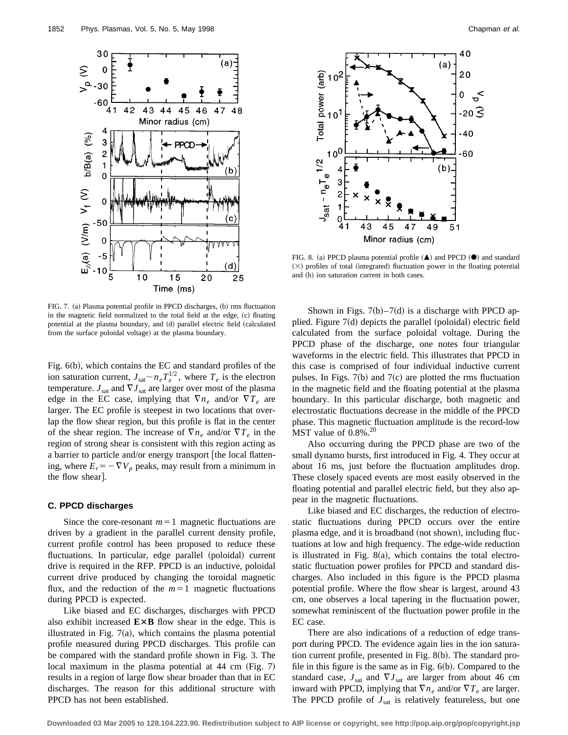

FIG. 7. (a) Plasma potential profile in PPCD discharges, (b) rms fluctuation in the magnetic field normalized to the total field at the edge, (c) floating potential at the plasma boundary, and (d) parallel electric field (calculated from the surface poloidal voltage) at the plasma boundary.

Fig.  $6(b)$ , which contains the EC and standard profiles of the ion saturation current,  $J_{\text{sat}} \sim n_e T_e^{1/2}$ , where  $T_e$  is the electron temperature.  $J_{\text{sat}}$  and  $\nabla J_{\text{sat}}$  are larger over most of the plasma edge in the EC case, implying that  $\nabla n_e$  and/or  $\nabla T_e$  are larger. The EC profile is steepest in two locations that overlap the flow shear region, but this profile is flat in the center of the shear region. The increase of  $\nabla n_e$  and/or  $\nabla T_e$  in the region of strong shear is consistent with this region acting as a barrier to particle and/or energy transport [the local flattening, where  $E_r = -\nabla V_p$  peaks, may result from a minimum in the flow shear.

### **C. PPCD discharges**

Since the core-resonant  $m=1$  magnetic fluctuations are driven by a gradient in the parallel current density profile, current profile control has been proposed to reduce these fluctuations. In particular, edge parallel (poloidal) current drive is required in the RFP. PPCD is an inductive, poloidal current drive produced by changing the toroidal magnetic flux, and the reduction of the  $m=1$  magnetic fluctuations during PPCD is expected.

Like biased and EC discharges, discharges with PPCD also exhibit increased  $E \times B$  flow shear in the edge. This is illustrated in Fig.  $7(a)$ , which contains the plasma potential profile measured during PPCD discharges. This profile can be compared with the standard profile shown in Fig. 3. The local maximum in the plasma potential at  $44 \text{ cm}$  (Fig. 7) results in a region of large flow shear broader than that in EC discharges. The reason for this additional structure with PPCD has not been established.



FIG. 8. (a) PPCD plasma potential profile  $(\triangle)$  and PPCD  $(\bigcirc)$  and standard  $(\times)$  profiles of total (integrated) fluctuation power in the floating potential and (b) ion saturation current in both cases.

Shown in Figs.  $7(b) - 7(d)$  is a discharge with PPCD applied. Figure  $7(d)$  depicts the parallel (poloidal) electric field calculated from the surface poloidal voltage. During the PPCD phase of the discharge, one notes four triangular waveforms in the electric field. This illustrates that PPCD in this case is comprised of four individual inductive current pulses. In Figs.  $7(b)$  and  $7(c)$  are plotted the rms fluctuation in the magnetic field and the floating potential at the plasma boundary. In this particular discharge, both magnetic and electrostatic fluctuations decrease in the middle of the PPCD phase. This magnetic fluctuation amplitude is the record-low MST value of  $0.8\%$ .<sup>20</sup>

Also occurring during the PPCD phase are two of the small dynamo bursts, first introduced in Fig. 4. They occur at about 16 ms, just before the fluctuation amplitudes drop. These closely spaced events are most easily observed in the floating potential and parallel electric field, but they also appear in the magnetic fluctuations.

Like biased and EC discharges, the reduction of electrostatic fluctuations during PPCD occurs over the entire plasma edge, and it is broadband (not shown), including fluctuations at low and high frequency. The edge-wide reduction is illustrated in Fig. 8 $(a)$ , which contains the total electrostatic fluctuation power profiles for PPCD and standard discharges. Also included in this figure is the PPCD plasma potential profile. Where the flow shear is largest, around 43 cm, one observes a local tapering in the fluctuation power, somewhat reminiscent of the fluctuation power profile in the EC case.

There are also indications of a reduction of edge transport during PPCD. The evidence again lies in the ion saturation current profile, presented in Fig.  $8(b)$ . The standard profile in this figure is the same as in Fig.  $6(b)$ . Compared to the standard case,  $J_{\text{sat}}$  and  $\nabla J_{\text{sat}}$  are larger from about 46 cm inward with PPCD, implying that  $\nabla n_e$  and/or  $\nabla T_e$  are larger. The PPCD profile of  $J_{sat}$  is relatively featureless, but one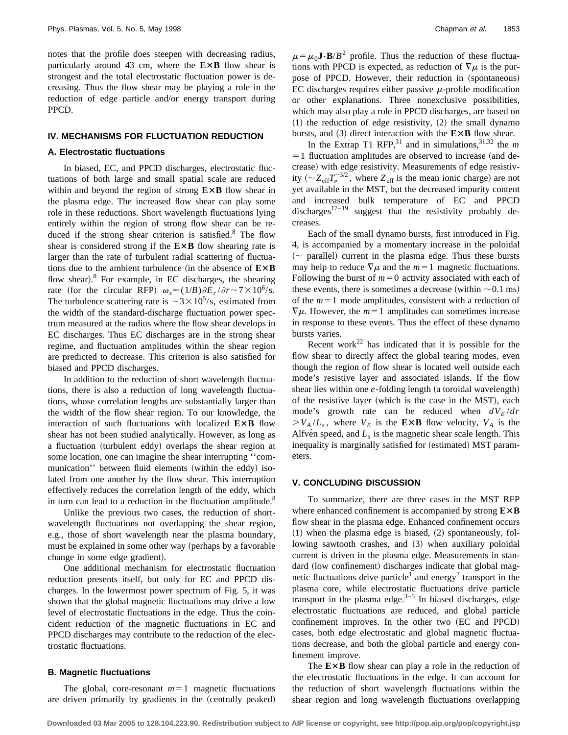notes that the profile does steepen with decreasing radius, particularly around 43 cm, where the  $E \times B$  flow shear is strongest and the total electrostatic fluctuation power is decreasing. Thus the flow shear may be playing a role in the reduction of edge particle and/or energy transport during PPCD.

#### **IV. MECHANISMS FOR FLUCTUATION REDUCTION**

#### **A. Electrostatic fluctuations**

In biased, EC, and PPCD discharges, electrostatic fluctuations of both large and small spatial scale are reduced within and beyond the region of strong  $E \times B$  flow shear in the plasma edge. The increased flow shear can play some role in these reductions. Short wavelength fluctuations lying entirely within the region of strong flow shear can be reduced if the strong shear criterion is satisfied.<sup>8</sup> The flow shear is considered strong if the  $E \times B$  flow shearing rate is larger than the rate of turbulent radial scattering of fluctuations due to the ambient turbulence (in the absence of  $E \times B$ flow shear).<sup>8</sup> For example, in EC discharges, the shearing rate (for the circular RFP)  $\omega_s \approx (1/B) \partial E_r / \partial r \sim 7 \times 10^6$ /s. The turbulence scattering rate is  $\sim$ 3 $\times$ 10<sup>5</sup>/s, estimated from the width of the standard-discharge fluctuation power spectrum measured at the radius where the flow shear develops in EC discharges. Thus EC discharges are in the strong shear regime, and fluctuation amplitudes within the shear region are predicted to decrease. This criterion is also satisfied for biased and PPCD discharges.

In addition to the reduction of short wavelength fluctuations, there is also a reduction of long wavelength fluctuations, whose correlation lengths are substantially larger than the width of the flow shear region. To our knowledge, the interaction of such fluctuations with localized  $E \times B$  flow shear has not been studied analytically. However, as long as a fluctuation (turbulent eddy) overlaps the shear region at some location, one can imagine the shear interrupting ''communication'' between fluid elements (within the eddy) isolated from one another by the flow shear. This interruption effectively reduces the correlation length of the eddy, which in turn can lead to a reduction in the fluctuation amplitude.<sup>8</sup>

Unlike the previous two cases, the reduction of shortwavelength fluctuations not overlapping the shear region, e.g., those of short wavelength near the plasma boundary, must be explained in some other way (perhaps by a favorable change in some edge gradient).

One additional mechanism for electrostatic fluctuation reduction presents itself, but only for EC and PPCD discharges. In the lowermost power spectrum of Fig. 5, it was shown that the global magnetic fluctuations may drive a low level of electrostatic fluctuations in the edge. Thus the coincident reduction of the magnetic fluctuations in EC and PPCD discharges may contribute to the reduction of the electrostatic fluctuations.

## **B. Magnetic fluctuations**

The global, core-resonant  $m=1$  magnetic fluctuations are driven primarily by gradients in the (centrally peaked)  $\mu = \mu_0 \mathbf{J} \cdot \mathbf{B}/B^2$  profile. Thus the reduction of these fluctuations with PPCD is expected, as reduction of  $\nabla \mu$  is the purpose of PPCD. However, their reduction in (spontaneous) EC discharges requires either passive  $\mu$ -profile modification or other explanations. Three nonexclusive possibilities, which may also play a role in PPCD discharges, are based on  $(1)$  the reduction of edge resistivity,  $(2)$  the small dynamo bursts, and  $(3)$  direct interaction with the  $E \times B$  flow shear.

In the Extrap T1 RFP,<sup>31</sup> and in simulations,  $31,32$  the *m*  $=1$  fluctuation amplitudes are observed to increase (and decrease) with edge resistivity. Measurements of edge resistivity ( $\sim$ Z<sub>eff</sub> $T_e^{-3/2}$ , where Z<sub>eff</sub> is the mean ionic charge) are not yet available in the MST, but the decreased impurity content and increased bulk temperature of EC and PPCD discharges<sup>17–19</sup> suggest that the resistivity probably decreases.

Each of the small dynamo bursts, first introduced in Fig. 4, is accompanied by a momentary increase in the poloidal  $\sim$  parallel) current in the plasma edge. Thus these bursts may help to reduce  $\nabla \mu$  and the  $m=1$  magnetic fluctuations. Following the burst of  $m=0$  activity associated with each of these events, there is sometimes a decrease (within  $\sim 0.1$  ms) of the  $m=1$  mode amplitudes, consistent with a reduction of  $\nabla \mu$ . However, the  $m=1$  amplitudes can sometimes increase in response to these events. Thus the effect of these dynamo bursts varies.

Recent work<sup>22</sup> has indicated that it is possible for the flow shear to directly affect the global tearing modes, even though the region of flow shear is located well outside each mode's resistive layer and associated islands. If the flow shear lies within one  $e$ -folding length  $(a$  toroidal wavelength $)$ of the resistive layer (which is the case in the MST), each mode's growth rate can be reduced when  $dV_E/dr$  $>V_A/L_s$ , where  $V_E$  is the **E**×**B** flow velocity,  $V_A$  is the Alfve $\hat{\theta}$  speed, and  $L_s$  is the magnetic shear scale length. This inequality is marginally satisfied for (estimated) MST parameters.

#### **V. CONCLUDING DISCUSSION**

To summarize, there are three cases in the MST RFP where enhanced confinement is accompanied by strong  $E \times B$ flow shear in the plasma edge. Enhanced confinement occurs  $(1)$  when the plasma edge is biased,  $(2)$  spontaneously, following sawtooth crashes, and (3) when auxiliary poloidal current is driven in the plasma edge. Measurements in standard (low confinement) discharges indicate that global magnetic fluctuations drive particle<sup>1</sup> and energy<sup>2</sup> transport in the plasma core, while electrostatic fluctuations drive particle transport in the plasma edge. $3-5$  In biased discharges, edge electrostatic fluctuations are reduced, and global particle confinement improves. In the other two (EC and PPCD) cases, both edge electrostatic and global magnetic fluctuations decrease, and both the global particle and energy confinement improve.

The  $E \times B$  flow shear can play a role in the reduction of the electrostatic fluctuations in the edge. It can account for the reduction of short wavelength fluctuations within the shear region and long wavelength fluctuations overlapping